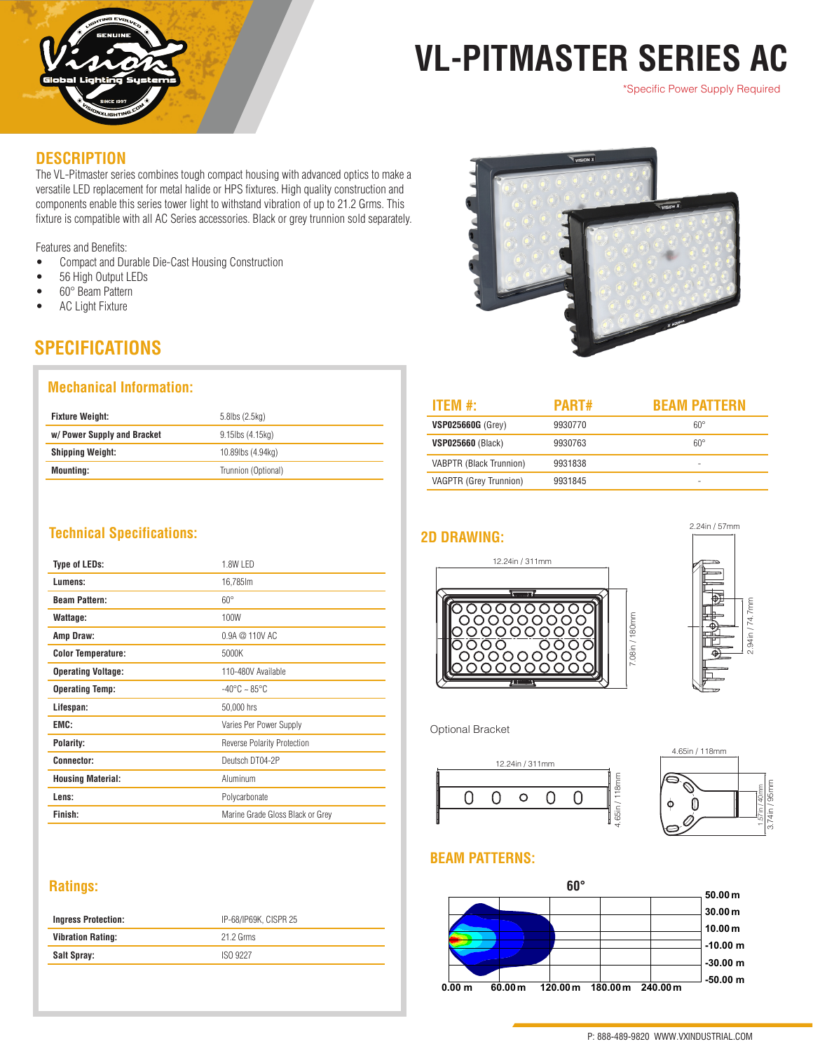

# **VL-PITMASTER SERIES AC**

\*Specific Power Supply Required

#### **DESCRIPTION**

The VL-Pitmaster series combines tough compact housing with advanced optics to make a versatile LED replacement for metal halide or HPS fixtures. High quality construction and components enable this series tower light to withstand vibration of up to 21.2 Grms. This fixture is compatible with all AC Series accessories. Black or grey trunnion sold separately.

Features and Benefits:

- Compact and Durable Die-Cast Housing Construction
- 56 High Output LEDs
- 60° Beam Pattern
- AC Light Fixture

## **SPECIFICATIONS**

### **Mechanical Information:**

| <b>Fixture Weight:</b>      | 5.8lbs (2.5kg)      |  |
|-----------------------------|---------------------|--|
| w/ Power Supply and Bracket | 9.15lbs (4.15kg)    |  |
| <b>Shipping Weight:</b>     | 10.89lbs (4.94kg)   |  |
| <b>Mounting:</b>            | Trunnion (Optional) |  |

### **Technical Specifications:**

| <b>Type of LEDs:</b>      | 1.8W LED                          |  |
|---------------------------|-----------------------------------|--|
| Lumens:                   | 16,785lm                          |  |
| <b>Beam Pattern:</b>      | $60^\circ$                        |  |
| Wattage:                  | 100W                              |  |
| Amp Draw:                 | 0.9A @ 110V AC                    |  |
| <b>Color Temperature:</b> | 5000K                             |  |
| <b>Operating Voltage:</b> | 110-480V Available                |  |
| <b>Operating Temp:</b>    | $-40^{\circ}$ C ~ 85 $^{\circ}$ C |  |
| Lifespan:                 | 50,000 hrs                        |  |
| EMC:                      | Varies Per Power Supply           |  |
| Polarity:                 | Reverse Polarity Protection       |  |
| <b>Connector:</b>         | Deutsch DT04-2P                   |  |
| <b>Housing Material:</b>  | Aluminum                          |  |
| Lens:                     | Polycarbonate                     |  |
| Finish:                   | Marine Grade Gloss Black or Grey  |  |

### **Ratings:**

| <b>Ingress Protection:</b> | IP-68/IP69K, CISPR 25 |  |
|----------------------------|-----------------------|--|
| <b>Vibration Rating:</b>   | 21.2 Grms             |  |
| Salt Spray:                | ISO 9227              |  |
|                            |                       |  |



| PART#   | <b>BEAM PATTERN</b> |
|---------|---------------------|
| 9930770 | $60^{\circ}$        |
| 9930763 | $60^{\circ}$        |
| 9931838 |                     |
| 9931845 | -                   |
|         |                     |





Optional Bracket





### **BEAM PATTERNS:**